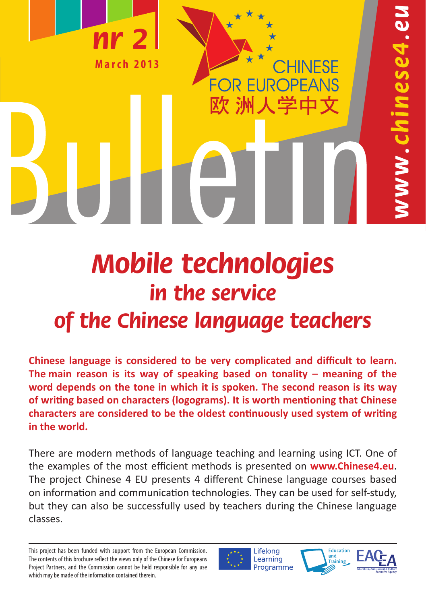

# **Mobile technologies in the service of the Chinese language teachers**

**Chinese language is considered to be very complicated and difficult to learn. The main reason is its way of speaking based on tonality – meaning of the word depends on the tone in which it is spoken. The second reason is its way of writing based on characters (logograms). It is worth mentioning that Chinese characters are considered to be the oldest continuously used system of writing in the world.**

There are modern methods of language teaching and learning using ICT. One of the examples of the most efficient methods is presented on **www.Chinese4.eu**. The project Chinese 4 EU presents 4 different Chinese language courses based on information and communication technologies. They can be used for self-study, but they can also be successfully used by teachers during the Chinese language classes.

Lifelong Learning Programme





This project has been funded with support from the European Commission. The contents of this brochure reflect the views only of the Chinese for Europeans Project Partners, and the Commission cannot be held responsible for any use which may be made of the information contained therein.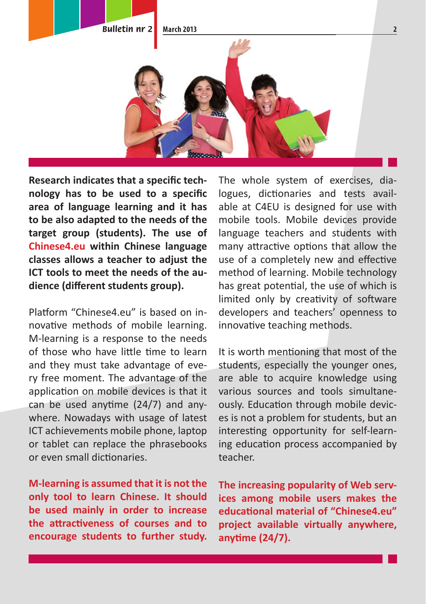

Research indicates that a specific technology has to be used to a specific **area of language learning and it has to be also adapted to the needs of the target group (students). The use of Chinese4.eu within Chinese language classes allows a teacher to adjust the ICT tools to meet the needs of the au**dience (different students group).

Platform "Chinese4.eu" is based on innovative methods of mobile learning. M-learning is a response to the needs of those who have little time to learn and they must take advantage of every free moment. The advantage of the application on mobile devices is that it can be used anytime  $(24/7)$  and anywhere. Nowadays with usage of latest ICT achievements mobile phone, laptop or tablet can replace the phrasebooks or even small dictionaries.

**M-learning is assumed that it is not the only tool to learn Chinese. It should be used mainly in order to increase the att racti veness of courses and to encourage students to further study.**

The whole system of exercises, dialogues, dictionaries and tests available at C4EU is designed for use with mobile tools. Mobile devices provide language teachers and students with many attractive options that allow the use of a completely new and effective method of learning. Mobile technology has great potential, the use of which is limited only by creativity of software developers and teachers' openness to innovative teaching methods.

It is worth mentioning that most of the students, especially the younger ones, are able to acquire knowledge using various sources and tools simultaneously. Education through mobile devices is not a problem for students, but an interesting opportunity for self-learning education process accompanied by teacher.

**The increasing popularity of Web services among mobile users makes the educati onal material of "Chinese4.eu" project available virtually anywhere, anyti me (24/7).**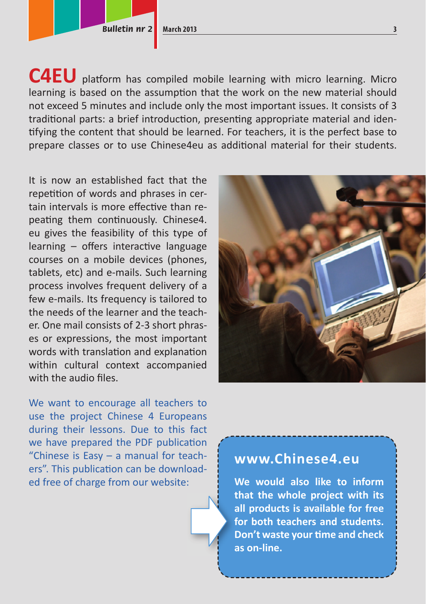**Bulletin nr 2 March 2013** 3

C4EU platform has compiled mobile learning with micro learning. Micro learning is based on the assumption that the work on the new material should not exceed 5 minutes and include only the most important issues. It consists of 3 traditional parts: a brief introduction, presenting appropriate material and identifying the content that should be learned. For teachers, it is the perfect base to prepare classes or to use Chinese4eu as additional material for their students.

It is now an established fact that the repetition of words and phrases in certain intervals is more effective than repeating them continuously. Chinese4. eu gives the feasibility of this type of  $learning - offers interface the language$ courses on a mobile devices (phones, tablets, etc) and e-mails. Such learning process involves frequent delivery of a few e-mails. Its frequency is tailored to the needs of the learner and the teacher. One mail consists of 2-3 short phrases or expressions, the most important words with translation and explanation within cultural context accompanied with the audio files.

We want to encourage all teachers to use the project Chinese 4 Europeans during their lessons. Due to this fact we have prepared the PDF publication "Chinese is Easy – a manual for teachers". This publication can be downloaded free of charge from our website:



## **www.Chinese4.eu**

**We would also like to inform that the whole project with its all products is available for free for both teachers and students. Don't waste your time and check as on-line.**